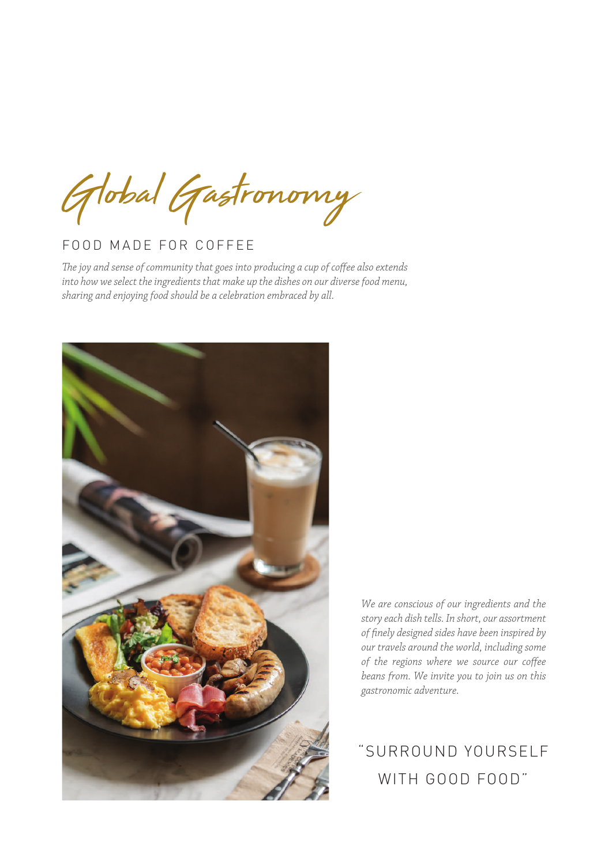Global Gastronomy

## FOOD MADE FOR COFFEE

#*e joy and sense of community that goes into producing a cup of co*"*ee also extends into how we select the ingredients that make up the dishes on our diverse food menu, sharing and enjoying food should be a celebration embraced by all.*



*We are conscious of our ingredients and the story each dish tells. In short, our assortment of* !*nely designed sides have been inspired by our travels around the world, including some of the regions where we source our coffee beans from. We invite you to join us on this gastronomic adventure.* 

# "SURROUND YOURSELF WITH GOOD FOOD"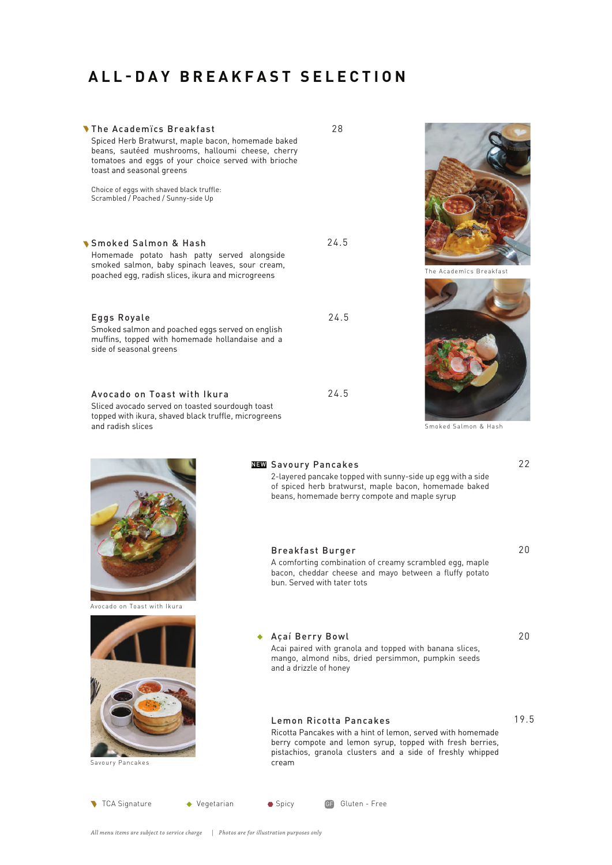## **ALL - DAY BREAKFAST SELECTION**

### The Academïcs Breakfast 28

Spiced Herb Bratwurst, maple bacon, homemade baked beans, sautéed mushrooms, halloumi cheese, cherry tomatoes and eggs of your choice served with brioche toast and seasonal greens

Choice of eggs with shaved black truffle: Scrambled / Poached / Sunny-side Up

### Smoked Salmon & Hash 24.5

Homemade potato hash patty served alongside smoked salmon, baby spinach leaves, sour cream, poached egg, radish slices, ikura and microgreens

### Eggs Royale 24.5

Smoked salmon and poached eggs served on english muffins, topped with homemade hollandaise and a side of seasonal greens

#### Avocado on Toast with Ikura **24.5**

Sliced avocado served on toasted sourdough toast topped with ikura, shaved black truffle, microgreens and radish slices





The Academïcs Breakfast



Smoked Salmon & Hash



### Savoury Pancakes 22 NEW

2-layered pancake topped with sunny-side up egg with a side of spiced herb bratwurst, maple bacon, homemade baked beans, homemade berry compote and maple syrup

#### Breakfast Burger 20

A comforting combination of creamy scrambled egg, maple bacon, cheddar cheese and mayo between a fluffy potato bun. Served with tater tots

20

Acai paired with granola and topped with banana slices, mango, almond nibs, dried persimmon, pumpkin seeds and a drizzle of honey Açaí Berry Bowl

### Lemon Ricotta Pancakes 19.5

Ricotta Pancakes with a hint of lemon, served with homemade berry compote and lemon syrup, topped with fresh berries, pistachios, granola clusters and a side of freshly whipped cream



Savoury Pancakes

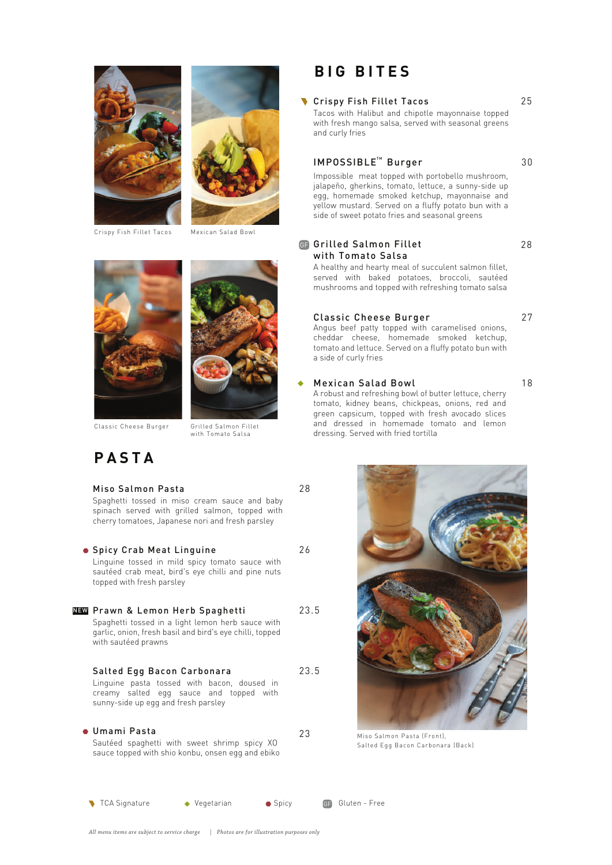



Crispy Fish Fillet Tacos

Mexican Salad Bowl





with Tomato Salsa

Classic Cheese Burger Grilled Salmon Fillet

## **PASTA**

#### Miso Salmon Pasta 28

Spaghetti tossed in miso cream sauce and baby spinach served with grilled salmon, topped with cherry tomatoes, Japanese nori and fresh parsley

#### **Spicy Crab Meat Linguine** 26

Linguine tossed in mild spicy tomato sauce with sautéed crab meat, bird's eye chilli and pine nuts topped with fresh parsley

### Prawn & Lemon Herb Spaghetti 23.5 NEW

Spaghetti tossed in a light lemon herb sauce with garlic, onion, fresh basil and bird's eye chilli, topped with sautéed prawns

#### Salted Egg Bacon Carbonara 23.5

Linguine pasta tossed with bacon, doused in creamy salted egg sauce and topped with sunny-side up egg and fresh parsley

#### 23 Umami Pasta Sautéed spaghetti with sweet shrimp spicy XO

sauce topped with shio konbu, onsen egg and ebiko

## **BIG BITES**

#### ● Crispy Fish Fillet Tacos 25

Tacos with Halibut and chipotle mayonnaise topped with fresh mango salsa, served with seasonal greens and curly fries

### IMPOSSIBLE<sup>™</sup> Burger 30

Impossible meat topped with portobello mushroom, jalapeño, gherkins, tomato, lettuce, a sunny-side up egg, homemade smoked ketchup, mayonnaise and yellow mustard. Served on a fluffy potato bun with a side of sweet potato fries and seasonal greens

### GF Grilled Salmon Fillet 28 with Tomato Salsa

A healthy and hearty meal of succulent salmon fillet, served with baked potatoes, broccoli, sautéed mushrooms and topped with refreshing tomato salsa

#### Classic Cheese Burger 27

Angus beef patty topped with caramelised onions, cheddar cheese, homemade smoked ketchup, tomato and lettuce. Served on a fluffy potato bun with a side of curly fries

#### Mexican Salad Bowl 18

A robust and refreshing bowl of butter lettuce, cherry tomato, kidney beans, chickpeas, onions, red and green capsicum, topped with fresh avocado slices and dressed in homemade tomato and lemon dressing. Served with fried tortilla



Miso Salmon Pasta (Front), Salted Egg Bacon Carbonara (Back)

TCA Signature

◆ Vegetarian ● Spicy GF Gluten - Free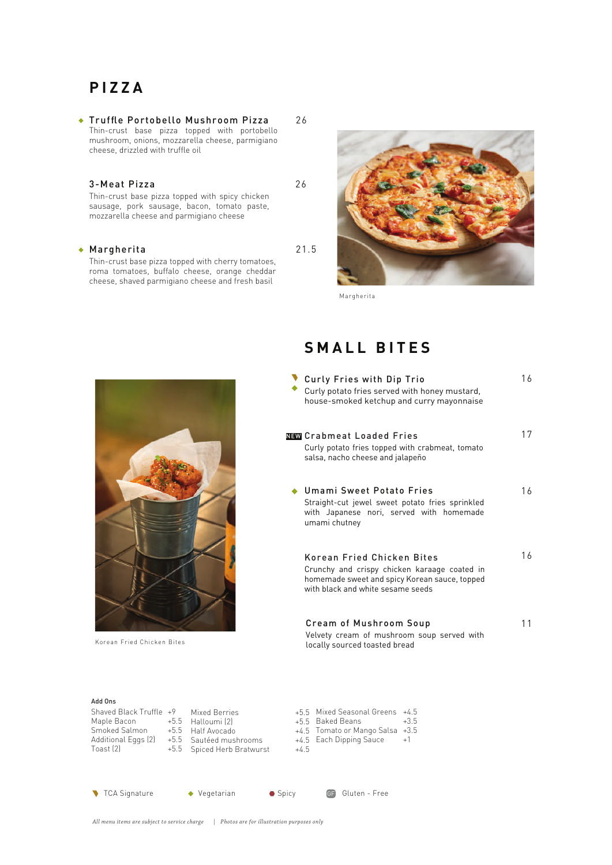## **PIZZA**

Truffle Portobello Mushroom Pizza 26 Thin-crust base pizza topped with portobello mushroom, onions, mozzarella cheese, parmigiano cheese, drizzled with truffle oil

#### 3-Meat Pizza 26

Thin-crust base pizza topped with spicy chicken sausage, pork sausage, bacon, tomato paste, mozzarella cheese and parmigiano cheese

#### Margherita

Thin-crust base pizza topped with cherry tomatoes, roma tomatoes, buffalo cheese, orange cheddar cheese, shaved parmigiano cheese and fresh basil



Margherita

21.5

## **SMALL BITES**

| Curly Fries with Dip Trio<br>Curly potato fries served with honey mustard.<br>house-smoked ketchup and curry mayonnaise                                          | 16 |
|------------------------------------------------------------------------------------------------------------------------------------------------------------------|----|
| NEW Crabmeat Loaded Fries<br>Curly potato fries topped with crabmeat, tomato<br>salsa, nacho cheese and jalapeño                                                 | 17 |
| Umami Sweet Potato Fries<br>Straight-cut jewel sweet potato fries sprinkled<br>with Japanese nori, served with homemade<br>umami chutney                         | 16 |
| Korean Fried Chicken Bites<br>Crunchy and crispy chicken karaage coated in<br>homemade sweet and spicy Korean sauce, topped<br>with black and white sesame seeds | 16 |
| Cream of Mushroom Soup<br>Velvety cream of mushroom soup served with<br>locally sourced toasted bread                                                            | 11 |

| Add Ons                                                                                                       |                                                                                            |        |                                                                                                                           |                |
|---------------------------------------------------------------------------------------------------------------|--------------------------------------------------------------------------------------------|--------|---------------------------------------------------------------------------------------------------------------------------|----------------|
| Shaved Black Truffle +9<br>Maple Bacon +5.5 Halloumi (2)<br>Smoked Salmon<br>Additional Eggs (2)<br>Toast (2) | Mixed Berries<br>+5.5 Half Avocado<br>+5.5 Sautéed mushrooms<br>+5.5 Spiced Herb Bratwurst | $+4.5$ | $+5.5$ Mixed Seasonal Greens $+4.5$<br>+5.5 Baked Beans<br>$+4.5$ Tomato or Mango Salsa $+3.5$<br>+4.5 Each Dipping Sauce | $+3.5$<br>$+1$ |

TCA Signature

Korean Fried Chicken Bites

```
◆ Vegetarian ● Spicy GF Gluten - Free
```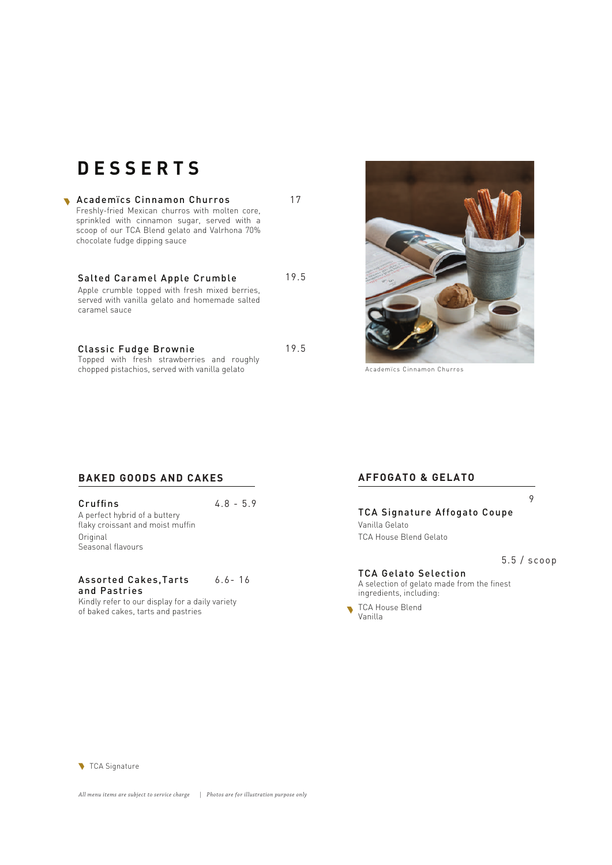## **DESSERTS**

## Academïcs Cinnamon Churros 17 Freshly-fried Mexican churros with molten core, sprinkled with cinnamon sugar, served with a scoop of our TCA Blend gelato and Valrhona 70% chocolate fudge dipping sauce Salted Caramel Apple Crumble 19.5 Apple crumble topped with fresh mixed berries,

served with vanilla gelato and homemade salted caramel sauce

### Classic Fudge Brownie 19.5

Topped with fresh strawberries and roughly chopped pistachios, served with vanilla gelato



Academïcs Cinnamon Churros

### **BAKED GOODS AND CAKES**

Cruffins  $4.8 - 5.9$ 

Original Seasonal flavours A perfect hybrid of a buttery flaky croissant and moist muffin

#### Assorted Cakes,Tarts and Pastries 6.6- 16

Kindly refer to our display for a daily variety of baked cakes, tarts and pastries

### **AFFOGATO & GELATO**

9

## Vanilla Gelato TCA Signature Affogato Coupe

TCA House Blend Gelato

5.5 / scoop

A selection of gelato made from the finest ingredients, including: TCA Gelato Selection

TCA House Blend  $\overline{\phantom{a}}$ Vanilla

TCA Signature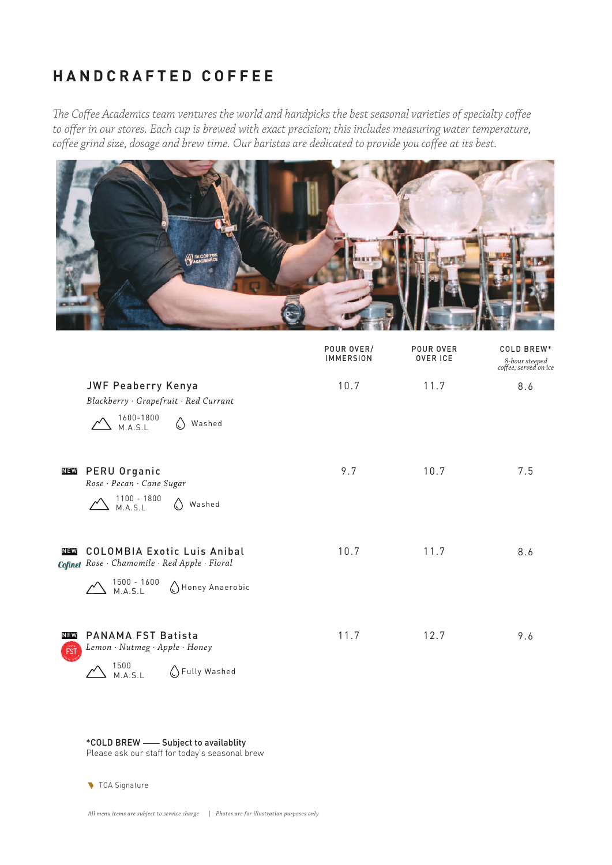## **HANDCRAFTED COFFEE**

#*e Co*"*ee Academïcs team ventures the world and handpicks the best seasonal varieties of specialty co*"*ee to o*"*er in our stores. Each cup is brewed with exact precision; this includes measuring water temperature, co*"*ee grind size, dosage and brew time. Our baristas are dedicated to provide you co*"*ee at its best.*



|                   |                                                                                                                                  | POUR OVER/<br><b>IMMERSION</b> | <b>POUR OVER</b><br><b>OVER ICE</b> | COLD BREW*<br>8-hour steeped<br>coffee, served on ice |
|-------------------|----------------------------------------------------------------------------------------------------------------------------------|--------------------------------|-------------------------------------|-------------------------------------------------------|
|                   | <b>JWF Peaberry Kenya</b><br>Blackberry · Grapefruit · Red Currant                                                               | 10.7                           | 11.7                                | 8.6                                                   |
|                   | 1600-1800<br>M.A.S.L<br>$\langle \rangle$<br>Washed                                                                              |                                |                                     |                                                       |
| <b>NEW</b>        | <b>PERU Organic</b><br>Rose · Pecan · Cane Sugar<br>1100 - 1800<br>M.A.S.L<br>() Washed                                          | 9.7                            | 10.7                                | 7.5                                                   |
| NEW               | <b>COLOMBIA Exotic Luis Anibal</b><br>Cofinet Rose · Chamomile · Red Apple · Floral<br>1500 - 1600<br>M.A.S.L<br>Honey Anaerobic | 10.7                           | 11.7                                | 8.6                                                   |
| <b>NEW</b><br>FST | <b>PANAMA FST Batista</b><br>Lemon · Nutmeg · Apple · Honey<br>1500<br>M.A.S.L<br>◯ Fully Washed                                 | 11.7                           | 12.7                                | 9.6                                                   |

\*COLD BREW - Subject to availablity Please ask our staff for today's seasonal brew

TCA Signature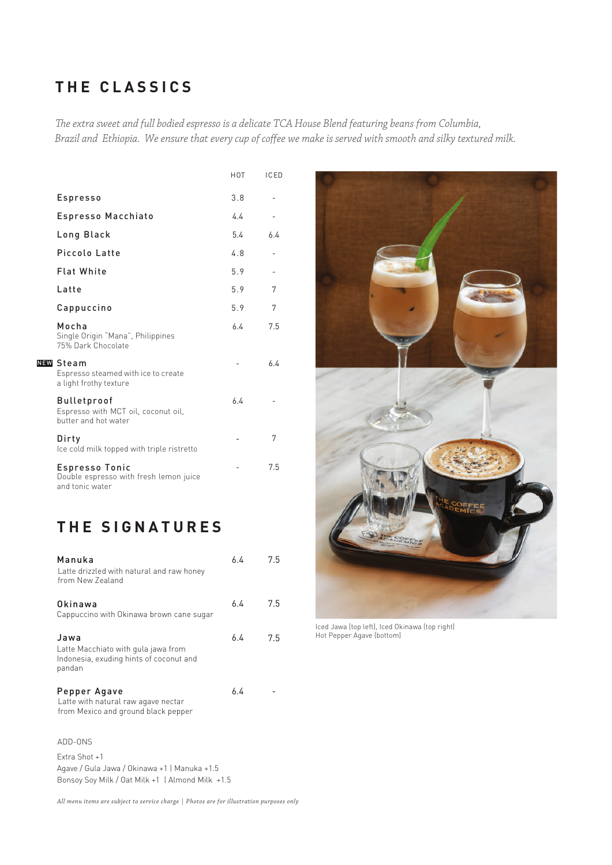## **THE CLASSICS**

#*e extra sweet and full bodied espresso is a delicate TCA House Blend featuring beans from Columbia, Brazil and Ethiopia. We ensure that every cup of coffee we make is served with smooth and silky textured milk.* 

|                                                                                   | <b>HOT</b> | <b>ICED</b> |
|-----------------------------------------------------------------------------------|------------|-------------|
| Espresso                                                                          | 3.8        |             |
| Espresso Macchiato                                                                | 4.4        |             |
| Long Black                                                                        | 5.4        | 64          |
| Piccolo Latte                                                                     | 4.8        |             |
| <b>Flat White</b>                                                                 | 5.9        |             |
| Latte                                                                             | 5.9        | 7           |
| Cappuccino                                                                        | 5.9        | 7           |
| Mocha<br>Single Origin "Mana", Philippines<br>75% Dark Chocolate                  | 64         | 7.5         |
| NEW Steam<br>Espresso steamed with ice to create<br>a light frothy texture        |            | 64          |
| <b>Bulletproof</b><br>Espresso with MCT oil, coconut oil,<br>butter and hot water | 6.4        |             |
| Dirty<br>Ice cold milk topped with triple ristretto                               |            | 7           |
| Espresso Tonic<br>Double espresso with fresh lemon juice<br>and tonic water       |            | 7.5         |

## **THE SIGNATURES**

| Manuka<br>Latte drizzled with natural and raw honey<br>from New Zealand                          | 64 | 7.5 |
|--------------------------------------------------------------------------------------------------|----|-----|
| Okinawa<br>Cappuccino with Okinawa brown cane sugar                                              | 64 | 7.5 |
| Jawa<br>Latte Macchiato with gula jawa from<br>Indonesia, exuding hints of coconut and<br>pandan | 64 | 7.5 |
| Pepper Agave<br>Latte with natural raw agave nectar<br>from Mexico and ground black pepper       | 64 |     |

ADD-ONS

Extra Shot +1 Agave / Gula Jawa / Okinawa +1 | Manuka +1.5 Bonsoy Soy Milk / Oat Milk +1 | Almond Milk +1.5

*All menu items are subject to service charge | Photos are for illustration purposes only*



Iced Jawa (top left), Iced Okinawa (top right) Hot Pepper Agave (bottom)